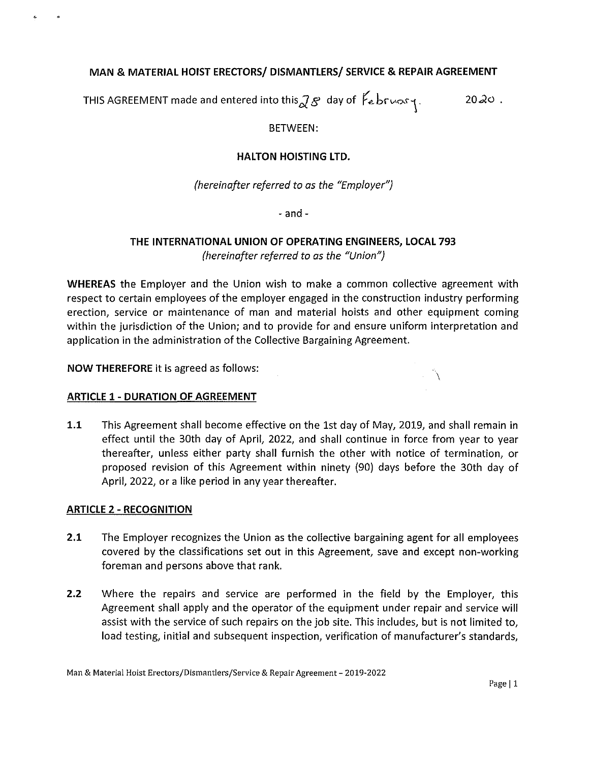# **MAN & MATERIAL HOIST ERECTORS/ DISMANTLERS/ SERVICE & REPAIR AGREEMENT**

THIS AGREEMENT made and entered into this  $\partial \mathcal{B}$  day of  $\mathcal{F}_e$  bruary.

 $20-20$ .

 $\checkmark$ 

# BETWEEN:

# **HALTON HOISTING LTD.**

*(hereinafter referred to as the "Employer")* 

- and -

# **THE INTERNATIONAL UNION OF OPERATING ENGINEERS, LOCAL 793**  *(hereinafter referred to as the "Union")*

**WHEREAS** the Employer and the Union wish to make a common collective agreement with respect to certain employees of the employer engaged in the construction industry performing erection, service or maintenance of man and material hoists and other equipment coming within the jurisdiction of the Union; and to provide for and ensure uniform interpretation and application in the administration of the Collective Bargaining Agreement.

**NOW THEREFORE** it is agreed as follows:

## **ARTICLE 1- DURATION OF AGREEMENT**

**1.1** This Agreement shall become effective on the 1st day of May, 2019, and shall remain in effect until the 30th day of April, 2022, and shall continue in force from year to year thereafter, unless either party shall furnish the other with notice of termination, or proposed revision of this Agreement within ninety (90) days before the 30th day of April, 2022, or a like period in any year thereafter.

## **ARTICLE** 2 - **RECOGNITION**

 $\epsilon$ 

- **2.1** The Employer recognizes the Union as the collective bargaining agent for all employees covered by the classifications set out in this Agreement, save and except non-working foreman and persons above that rank.
- **2.2** Where the repairs and service are performed in the field by the Employer, this Agreement shall apply and the operator of the equipment under repair and service will assist with the service of such repairs on the job site. This includes, but is not limited to, load testing, initial and subsequent inspection, verification of manufacturer's standards,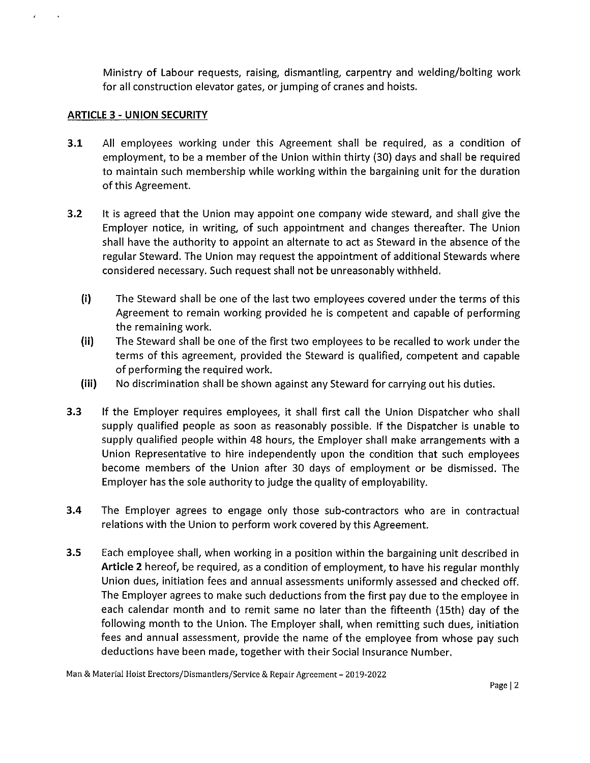Ministry of Labour requests, raising, dismantling, carpentry and welding/bolting work for all construction elevator gates, or jumping of cranes and hoists.

# **ARTICLE** 3 - **UNION SECURITY**

 $\mathcal{L}^{\pm}$ 

 $\sim$ 

- **3.1** All employees working under this Agreement shall be required, as a condition of employment, to be a member of the Union within thirty (30) days and shall be required to maintain such membership while working within the bargaining unit for the duration of this Agreement.
- **3.2** It is agreed that the Union may appoint one company wide steward, and shall give the Employer notice, in writing, of such appointment and changes thereafter. The Union shall have the authority to appoint an alternate to act as Steward in the absence of the regular Steward. The Union may request the appointment of additional Stewards where considered necessary. Such request shall not be unreasonably withheld.
	- **(i)** The Steward shall be one of the last two employees covered under the terms of this Agreement to remain working provided he is competent and capable of performing the remaining work.
	- **(ii)** The Steward shall be one of the first two employees to be recalled to work under the terms of this agreement, provided the Steward is qualified, competent and capable of performing the required work.
	- **(iii)** No discrimination shall be shown against any Steward for carrying out his duties.
- 3.3 If the Employer requires employees, it shall first call the Union Dispatcher who shall supply qualified people as soon as reasonably possible. If the Dispatcher is unable to supply qualified people within 48 hours, the Employer shall make arrangements with a Union Representative to hire independently upon the condition that such employees become members of the Union after 30 days of employment or be dismissed. The Employer has the sole authority to judge the quality of employability.
- **3.4** The Employer agrees to engage only those sub-contractors who are in contractual relations with the Union to perform work covered by this Agreement.
- **3.5** Each employee shall, when working in a position within the bargaining unit described in **Article 2** hereof, be required, as a condition of employment, to have his regular monthly Union dues, initiation fees and annual assessments uniformly assessed and checked off. The Employer agrees to make such deductions from the first pay due to the employee in each calendar month and to remit same no later than the fifteenth (15th) day of the following month to the Union. The Employer shall, when remitting such dues, initiation fees and annual assessment, provide the name of the employee from whose pay such deductions have been made, together with their Social Insurance Number.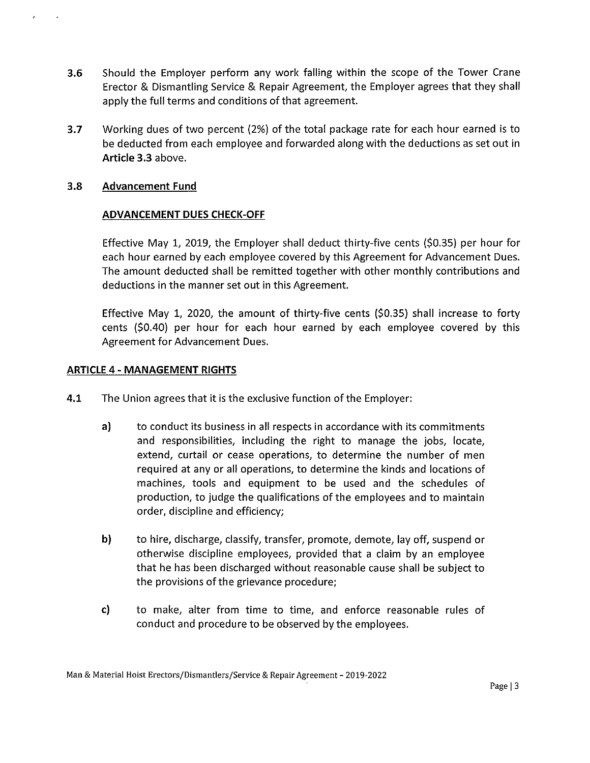- **3.6** Should the Employer perform any work falling within the scope of the Tower Crane Erector & Dismantling Service & Repair Agreement, the Employer agrees that they shall apply the full terms and conditions of that agreement.
- **3.7** Working dues of two percent (2%) of the total package rate for each hour earned is to be deducted from each employee and forwarded along with the deductions as set out in **Article 3.3** above.

## 3.8 **Advancement Fund**

 $\lambda$ 

 $\ddot{\phantom{a}}$ 

# **ADVANCEMENT DUES CHECK-OFF**

Effective May 1, 2019, the Employer shall deduct thirty-five cents (\$0.35) per hour for each hour earned by each employee covered by this Agreement for Advancement Dues. The amount deducted shall be remitted together with other monthly contributions and deductions in the manner set out in this Agreement.

Effective May 1, 2020, the amount of thirty-five cents (\$0.35) shall increase to forty cents (\$0.40) per hour for each hour earned by each employee covered by this Agreement for Advancement Dues.

## **ARTICLE 4 - MANAGEMENT RIGHTS**

- **4.1** The Union agrees that it is the exclusive function of the Employer:
	- a) to conduct its business in all respects in accordance with its commitments and responsibilities, including the right to manage the jobs, locate, extend, curtail or cease operations, to determine the number of men required at any or all operations, to determine the kinds and locations of machines, tools and equipment to be used and the schedules of production, to judge the qualifications of the employees and to maintain order, discipline and efficiency;
	- **b)** to hire, discharge, classify, transfer, promote, demote, lay off, suspend or otherwise discipline employees, provided that a claim by an employee that he has been discharged without reasonable cause shall be subject to the provisions of the grievance procedure;
	- c) to make, alter from time to time, and enforce reasonable rules of conduct and procedure to be observed by the employees.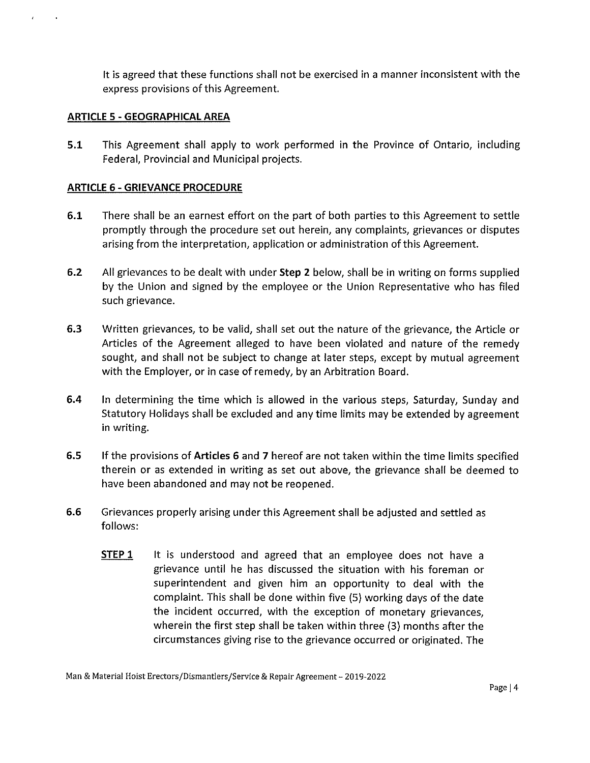It is agreed that these functions shall not be exercised in a manner inconsistent with the express provisions of this Agreement.

#### **ARTICLE 5 - GEOGRAPHICAL AREA**

**5.1** This Agreement shall apply to work performed in the Province of Ontario, including Federal, Provincial and Municipal projects.

### **ARTICLE 6 - GRIEVANCE PROCEDURE**

- **6.1** There shall be an earnest effort on the part of both parties to this Agreement to settle promptly through the procedure set out herein, any complaints, grievances or disputes arising from the interpretation, application or administration of this Agreement.
- **6.2** All grievances to be dealt with under **Step 2** below, shall be in writing on forms supplied by the Union and signed by the employee or the Union Representative who has filed such grievance.
- **6.3** Written grievances, to be valid, shall set out the nature of the grievance, the Article or Articles of the Agreement alleged to have been violated and nature of the remedy sought, and shall not be subject to change at later steps, except by mutual agreement with the Employer, or in case of remedy, by an Arbitration Board.
- **6.4** In determining the time which is allowed in the various steps, Saturday, Sunday and Statutory Holidays shall be excluded and any time limits may be extended by agreement in writing.
- **6.5** If the provisions of **Articles 6** and **7** hereof are not taken within the time limits specified therein or as extended in writing as set out above, the grievance shall be deemed to have been abandoned and may not be reopened.
- **6.6** Grievances properly arising under this Agreement shall be adjusted and settled as follows:
	- **STEP 1** It is understood and agreed that an employee does not have a grievance until he has discussed the situation with his foreman or superintendent and given him an opportunity to deal with the complaint. This shall be done within five (5) working days of the date the incident occurred, with the exception of monetary grievances, wherein the first step shall be taken within three (3) months after the circumstances giving rise to the grievance occurred or originated. The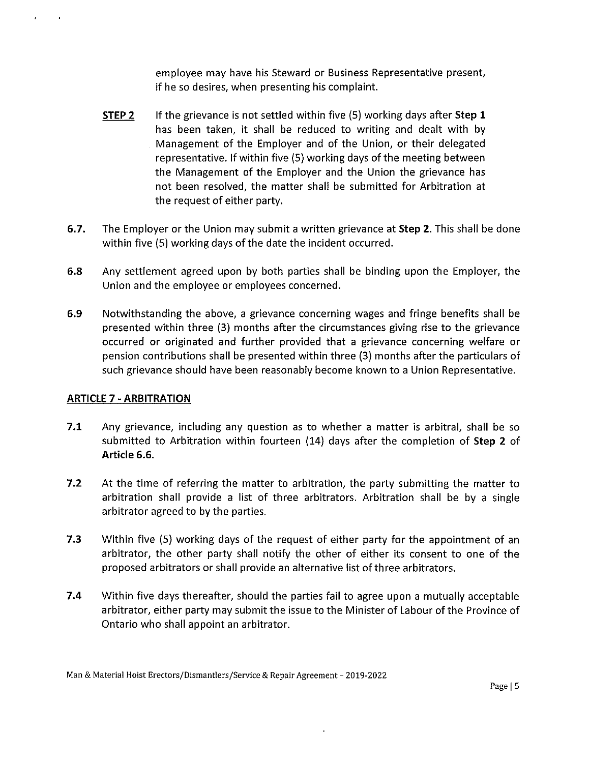employee may have his Steward or Business Representative present, if he so desires, when presenting his complaint.

- **STEP 2**  If the grievance is not settled within five (5) working days after **Step 1**  has been taken, it shall be reduced to writing and dealt with by Management of the Employer and of the Union, or their delegated representative. If within five (5) working days of the meeting between the Management of the Employer and the Union the grievance has not been resolved, the matter shall be submitted for Arbitration at the request of either party.
- **6.7.** The Employer or the Union may submit a written grievance at **Step 2.** This shall be done within five (5) working days of the date the incident occurred.
- 6.8 Any settlement agreed upon by both parties shall be binding upon the Employer, the Union and the employee or employees concerned.
- **6.9** Notwithstanding the above, a grievance concerning wages and fringe benefits shall be presented within three (3) months after the circumstances giving rise to the grievance occurred or originated and further provided that a grievance concerning welfare or pension contributions shall be presented within three (3) months after the particulars of such grievance should have been reasonably become known to a Union Representative.

## **ARTICLE 7 - ARBITRATION**

 $\mathcal{F}^{\pm}$ 

 $\sim 4$ 

- **7.1** Any grievance, including any question as to whether a matter is arbitral, shall be so submitted to Arbitration within fourteen (14) days after the completion of **Step 2** of **Article 6.6.**
- **7.2** At the time of referring the matter to arbitration, the party submitting the matter to arbitration shall provide a list of three arbitrators. Arbitration shall be by a single arbitrator agreed to by the parties.
- **7.3** Within five (5) working days of the request of either party for the appointment of an arbitrator, the other party shall notify the other of either its consent to one of the proposed arbitrators or shall provide an alternative list of three arbitrators.
- **7.4** Within five days thereafter, should the parties fail to agree upon a mutually acceptable arbitrator, either party may submit the issue to the Minister of Labour of the Province of Ontario who shall appoint an arbitrator.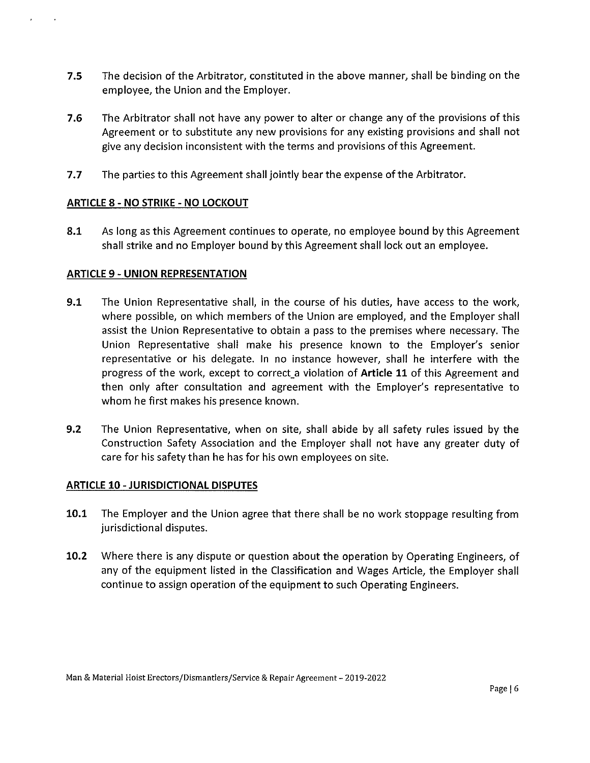- **7.5** The decision of the Arbitrator, constituted in the above manner, shall be binding on the employee, the Union and the Employer.
- **7.6** The Arbitrator shall not have any power to alter or change any of the provisions of this Agreement or to substitute any new provisions for any existing provisions and shall not give any decision inconsistent with the terms and provisions of this Agreement.
- **7.7** The parties to this Agreement shall jointly bear the expense of the Arbitrator.

# **ARTICLE** 8 - **NO STRIKE - NO LOCKOUT**

**8.1** As long as this Agreement continues to operate, no employee bound by this Agreement shall strike and no Employer bound by this Agreement shall lock out an employee.

# **ARTICLE** 9 - **UNION REPRESENTATION**

- **9.1** The Union Representative shall, in the course of his duties, have access to the work, where possible, on which members of the Union are employed, and the Employer shall assist the Union Representative to obtain a pass to the premises where necessary. The Union Representative shall make his presence known to the Employer's senior representative or his delegate. In no instance however, shall he interfere with the progress of the work, except to correct\_a violation of **Article 11** of this Agreement and then only after consultation and agreement with the Employer's representative to whom he first makes his presence known.
- **9.2** The Union Representative, when on site, shall abide by all safety rules issued by the Construction Safety Association and the Employer shall not have any greater duty of care for his safety than he has for his own employees on site.

## **ARTICLE 10 - JURISDICTIONAL DISPUTES**

- **10.1** The Employer and the Union agree that there shall be no work stoppage resulting from jurisdictional disputes.
- **10.2** Where there is any dispute or question about the operation by Operating Engineers, of any of the equipment listed in the Classification and Wages Article, the Employer shall continue to assign operation of the equipment to such Operating Engineers.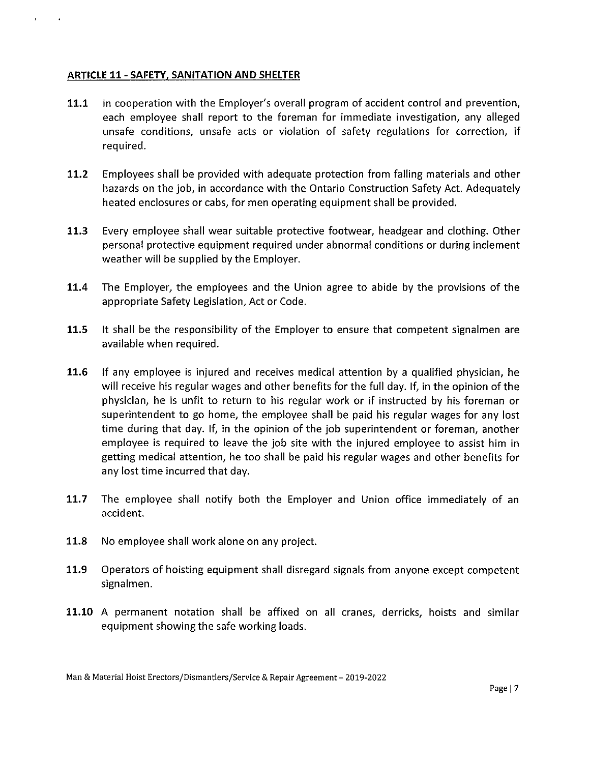# **ARTICLE 11- SAFETY, SANITATION AND SHELTER**

 $\mathbf{r}$ 

 $\sim 10^{-1}$ 

- **11.1** In cooperation with the Employer's overall program of accident control and prevention, each employee shall report to the foreman for immediate investigation, any alleged unsafe conditions, unsafe acts or violation of safety regulations for correction, if required.
- **11.2** Employees shall be provided with adequate protection from falling materials and other hazards on the job, in accordance with the Ontario Construction Safety Act. Adequately heated enclosures or cabs, for men operating equipment shall be provided.
- **11.3** Every employee shall wear suitable protective footwear, headgear and clothing. Other personal protective equipment required under abnormal conditions or during inclement weather will be supplied by the Employer.
- **11.4** The Employer, the employees and the Union agree to abide by the provisions of the appropriate Safety Legislation, Act or Code.
- **11.5** It shall be the responsibility of the Employer to ensure that competent signalmen are available when required.
- **11.6** If any employee is injured and receives medical attention by a qualified physician, he will receive his regular wages and other benefits for the full day. If, in the opinion of the physician, he is unfit to return to his regular work or if instructed by his foreman or superintendent to go home, the employee shall be paid his regular wages for any lost time during that day. If, in the opinion of the job superintendent or foreman, another employee is required to leave the job site with the injured employee to assist him in getting medical attention, he too shall be paid his regular wages and other benefits for any lost time incurred that day.
- **11.7** The employee shall notify both the Employer and Union office immediately of an accident.
- **11.8** No employee shall work alone on any project.
- **11.9** Operators of hoisting equipment shall disregard signals from anyone except competent signalmen.
- **11.10** A permanent notation shall be affixed on all cranes, derricks, hoists and similar equipment showing the safe working loads.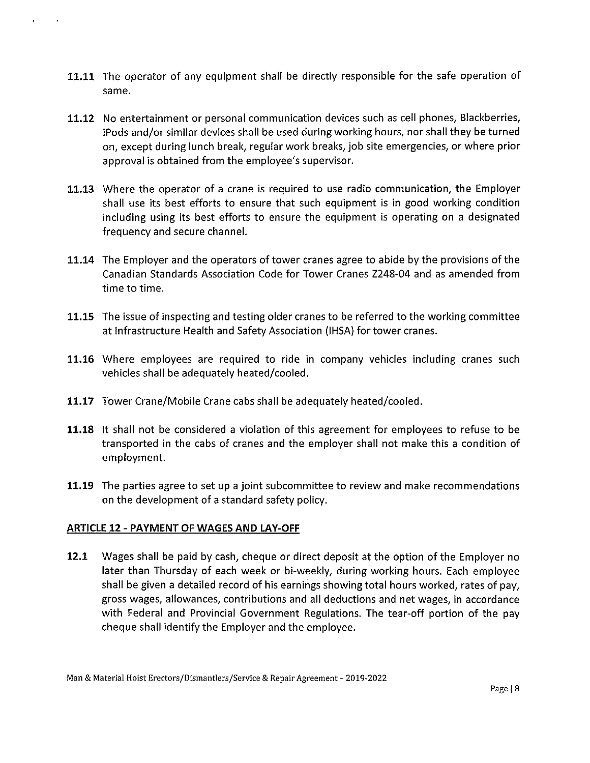- **11.11** The operator of any equipment shall be directly responsible for the safe operation of same.
- **11.12** No entertainment or personal communication devices such as cell phones, Blackberries, iPods and/or similar devices shall be used during working hours, nor shall they be turned on, except during lunch break, regular work breaks, job site emergencies, or where prior approval is obtained from the employee's supervisor.
- **11.13** Where the operator of a crane is required to use radio communication, the Employer shall use its best efforts to ensure that such equipment is in good working condition including using its best efforts to ensure the equipment is operating on a designated frequency and secure channel.
- **11.14** The Employer and the operators of tower cranes agree to abide by the provisions of the Canadian Standards Association Code for Tower Cranes Z248-04 and as amended from time to time.
- **11.15** The issue of inspecting and testing older cranes to be referred to the working committee at Infrastructure Health and Safety Association (IHSA) for tower cranes.
- **11.16** Where employees are required to ride in company vehicles including cranes such vehicles shall be adequately heated/cooled.
- **11.17** Tower Crane/Mobile Crane cabs shall be adequately heated/cooled.
- **11.18** It shall not be considered a violation of this agreement for employees to refuse to be transported in the cabs of cranes and the employer shall not make this a condition of employment.
- **11.19** The parties agree to set up a joint subcommittee to review and make recommendations on the development of a standard safety policy.

# **ARTICLE 12 - PAYMENT OF WAGES AND LAY-OFF**

**12.1** Wages shall be paid by cash, cheque or direct deposit at the option of the Employer no later than Thursday of each week or bi-weekly, during working hours. Each employee shall be given a detailed record of his earnings showing total hours worked, rates of pay, gross wages, allowances, contributions and all deductions and net wages, in accordance with Federal and Provincial Government Regulations. The tear-off portion of the pay cheque shall identify the Employer and the employee.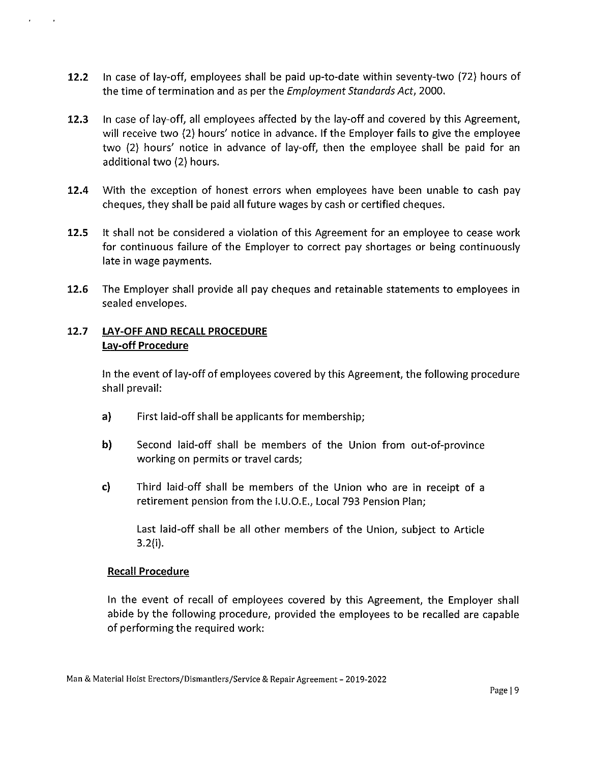- **12.2** In case of lay-off, employees shall be paid up-to-date within seventy-two (72) hours of the time of termination and as per the *Employment Standards Act,* 2000.
- **12.3** In case of lay-off, all employees affected by the lay-off and covered by this Agreement, will receive two (2) hours' notice in advance. If the Employer fails to give the employee two (2) hours' notice in advance of lay-off, then the employee shall be paid for an additional two (2) hours.
- **12.4** With the exception of honest errors when employees have been unable to cash pay cheques, they shall be paid all future wages by cash or certified cheques.
- **12.5** It shall not be considered a violation of this Agreement for an employee to cease work for continuous failure of the Employer to correct pay shortages or being continuously late in wage payments.
- **12.6** The Employer shall provide all pay cheques and retainable statements to employees in sealed envelopes.

# **12.7 LAY-OFF AND RECALL PROCEDURE Lay-off Procedure**

In the event of lay-off of employees covered by this Agreement, the following procedure shall prevail:

- a) First laid-off shall be applicants for membership;
- **b)** Second laid-off shall be members of the Union from out-of-province working on permits or travel cards;
- **c)** Third laid-off shall be members of the Union who are in receipt of a retirement pension from the 1.U.O.E., Local 793 Pension Plan;

Last laid-off shall be all other members of the Union, subject to Article 3.2(i).

## **Recall Procedure**

In the event of recall of employees covered by this Agreement, the Employer shall abide by the following procedure, provided the employees to be recalled are capable of performing the required work: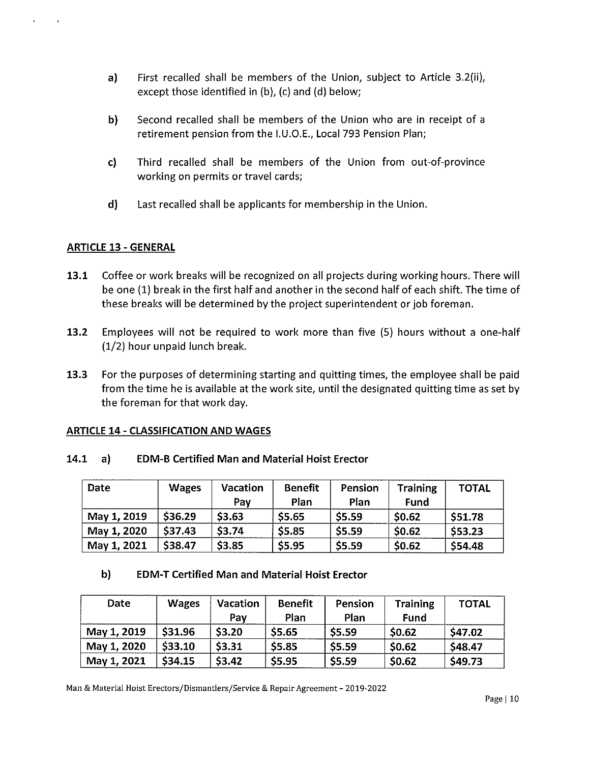- a) First recalled shall be members of the Union, subject to Article 3.2(ii), except those identified in (b), (c) and (d) below;
- b) Second recalled shall be members of the Union who are in receipt of a retirement pension from the 1.U.O.E., Local 793 Pension Plan;
- c) Third recalled shall be members of the Union from out-of-province working on permits or travel cards;
- d) Last recalled shall be applicants for membership in the Union.

# ARTICLE 13 - GENERAL

- 13.1 Coffee or work breaks will be recognized on all projects during working hours. There will be one (1) break in the first half and another in the second half of each shift. The time of these breaks will be determined by the project superintendent or job foreman.
- 13.2 Employees will not be required to work more than five (5) hours without a one-half (1/2) hour unpaid lunch break.
- 13.3 For the purposes of determining starting and quitting times, the employee shall be paid from the time he is available at the work site, until the designated quitting time as set by the foreman for that work day.

## ARTICLE 14 - CLASSIFICATION AND WAGES

## 14.1 a) EDM-B Certified Man and Material Hoist Erector

| Date        | <b>Wages</b> | <b>Vacation</b> | <b>Benefit</b> | Pension      | <b>Training</b> | <b>TOTAL</b> |
|-------------|--------------|-----------------|----------------|--------------|-----------------|--------------|
|             |              | Pay             | Plan           | Plan         | Fund            |              |
| May 1, 2019 | \$36.29      | \$3.63          | \$5.65         | \$5.59       | \$0.62          | \$51.78      |
| May 1, 2020 | \$37.43      | \$3.74          | \$5.85         | <b>S5.59</b> | \$0.62          | \$53.23      |
| May 1, 2021 | \$38.47      | \$3.85          | \$5.95         | \$5.59       | \$0.62          | \$54.48      |

# b) EDM-T Certified Man and Material Hoist Erector

| Date        | <b>Wages</b> | Vacation<br>Pav | <b>Benefit</b><br>Plan | Pension<br>Plan | <b>Training</b><br>Fund | <b>TOTAL</b> |
|-------------|--------------|-----------------|------------------------|-----------------|-------------------------|--------------|
| May 1, 2019 | \$31.96      | \$3.20          | \$5.65                 | \$5.59          | \$0.62                  | \$47.02      |
| May 1, 2020 | S33.10       | \$3.31          | \$5.85                 | \$5.59          | \$0.62                  | \$48.47      |
| May 1, 2021 | \$34.15      | \$3.42          | \$5.95                 | \$5.59          | \$0.62                  | \$49.73      |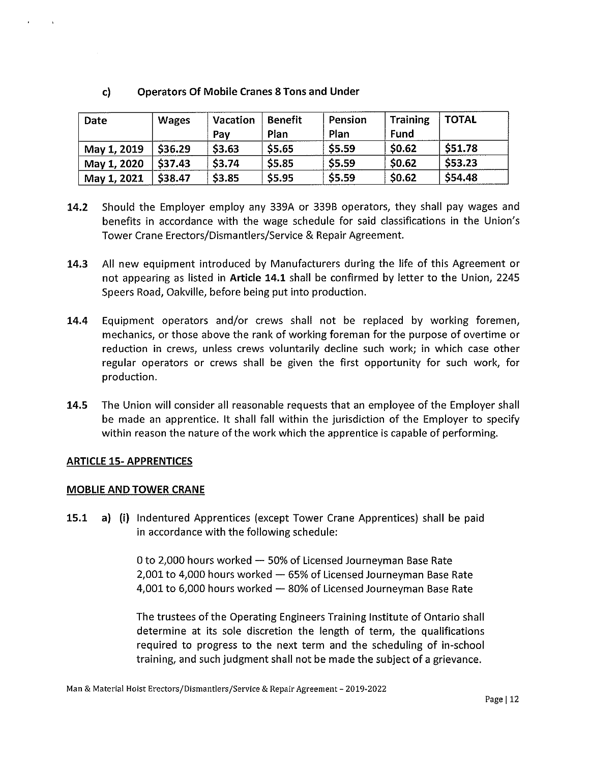# **c) Operators Of Mobile Cranes 8 Tons and Under**

| Date        | <b>Wages</b> | Vacation<br>Pav | <b>Benefit</b><br>Plan | Pension<br>Plan | Training<br>Fund | <b>TOTAL</b> |
|-------------|--------------|-----------------|------------------------|-----------------|------------------|--------------|
| May 1, 2019 | \$36.29      | \$3.63          | \$5.65                 | \$5.59          | \$0.62           | \$51.78      |
| May 1, 2020 | \$37.43      | <b>S3.74</b>    | \$5,85                 | \$5.59          | \$0.62           | \$53.23      |
| May 1, 2021 | \$38.47      | \$3.85          | \$5.95                 | \$5.59          | \$0.62           | \$54.48      |

- **14.2** Should the Employer employ any 339A or 339B operators, they shall pay wages and benefits in accordance with the wage schedule for said classifications in the Union's Tower Crane Erectors/Dismantlers/Service & Repair Agreement.
- **14.3** All new equipment introduced by Manufacturers during the life of this Agreement or not appearing as listed in **Article 14.1** shall be confirmed by letter to the Union, 2245 Speers Road, Oakville, before being put into production.
- **14.4** Equipment operators and/or crews shall not be replaced by working foremen, mechanics, or those above the rank of working foreman for the purpose of overtime or reduction in crews, unless crews voluntarily decline such work; in which case other regular operators or crews shall be given the first opportunity for such work, for production.
- **14.5** The Union will consider all reasonable requests that an employee of the Employer shall be made an apprentice. It shall fall within the jurisdiction of the Employer to specify within reason the nature of the work which the apprentice is capable of performing.

## **ARTICLE 15- APPRENTICES**

#### **MOBLIE AND TOWER CRANE**

**15.1 a) (i)** Indentured Apprentices (except Tower Crane Apprentices) shall be paid in accordance with the following schedule:

> 0 to 2,000 hours worked  $-50\%$  of Licensed Journeyman Base Rate  $2,001$  to 4,000 hours worked  $-65%$  of Licensed Journeyman Base Rate 4,001 to 6,000 hours worked - 80% of Licensed Journeyman Base Rate

The trustees of the Operating Engineers Training Institute of Ontario shall determine at its sole discretion the length of term, the qualifications required to progress to the next term and the scheduling of in-school training, and such judgment shall not be made the subject of a grievance.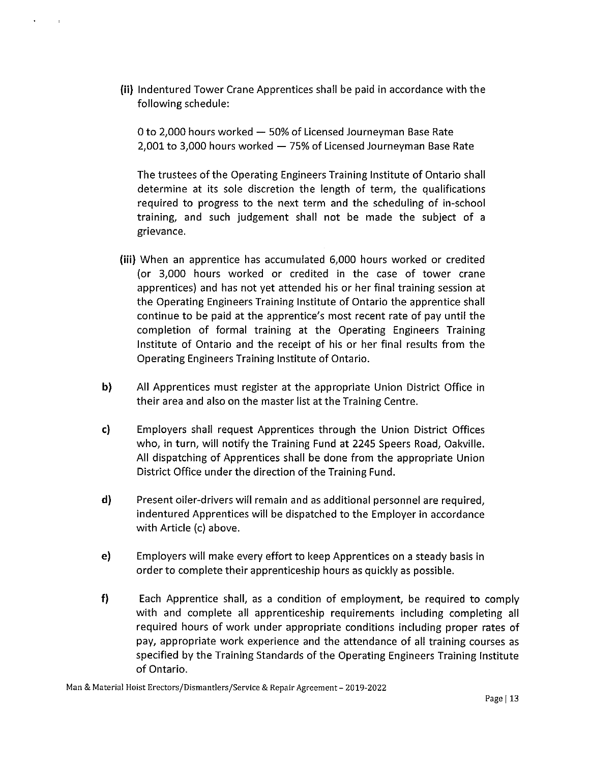(ii) Indentured Tower Crane Apprentices shall be paid in accordance with the following schedule:

0 to 2,000 hours worked  $-50\%$  of Licensed Journeyman Base Rate 2,001 to 3,000 hours worked  $-75%$  of Licensed Journeyman Base Rate

The trustees of the Operating Engineers Training Institute of Ontario shall determine at its sole discretion the length of term, the qualifications required to progress to the next term and the scheduling of in-school training, and such judgement shall not be made the subject of a grievance.

- (iii) When an apprentice has accumulated 6,000 hours worked or credited (or 3,000 hours worked or credited in the case of tower crane apprentices) and has not yet attended his or her final training session at the Operating Engineers Training Institute of Ontario the apprentice shall continue to be paid at the apprentice's most recent rate of pay until the completion of formal training at the Operating Engineers Training Institute of Ontario and the receipt of his or her final results from the Operating Engineers Training Institute of Ontario.
- b) All Apprentices must register at the appropriate Union District Office in their area and also on the master list at the Training Centre.
- c) Employers shall request Apprentices through the Union District Offices who, in turn, will notify the Training Fund at 2245 Speers Road, Oakville. All dispatching of Apprentices shall be done from the appropriate Union District Office under the direction of the Training Fund.
- d) Present oiler-drivers will remain and as additional personnel are required, indentured Apprentices will be dispatched to the Employer in accordance with Article (c) above.
- e) Employers will make every effort to keep Apprentices on a steady basis in order to complete their apprenticeship hours as quickly as possible.
- f) Each Apprentice shall, as a condition of employment, be required to comply with and complete all apprenticeship requirements including completing all required hours of work under appropriate conditions including proper rates of pay, appropriate work experience and the attendance of all training courses as specified by the Training Standards of the Operating Engineers Training Institute of Ontario.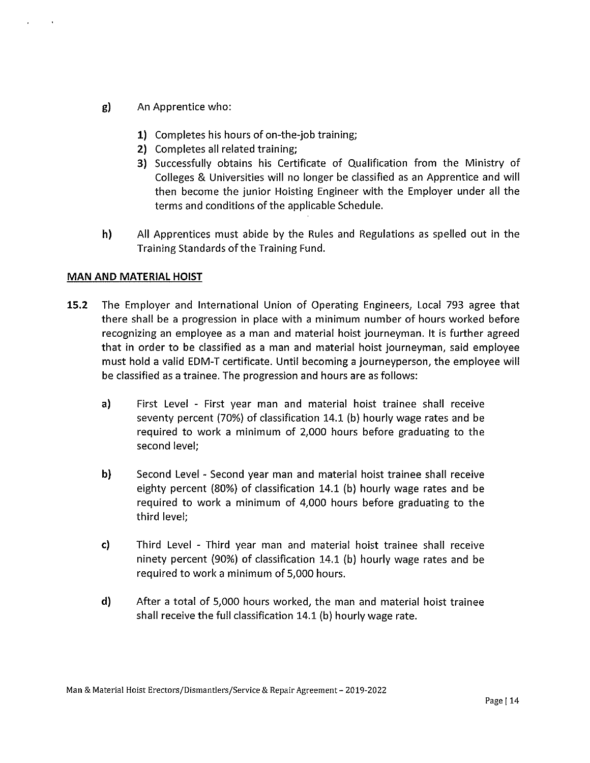- g) An Apprentice who:
	- **1)** Completes his hours of on-the-job training;
	- **2)** Completes all related training;
	- 3) Successfully obtains his Certificate of Qualification from the Ministry of Colleges & Universities will no longer be classified as an Apprentice and will then become the junior Hoisting Engineer with the Employer under all the terms and conditions of the applicable Schedule.
- h) All Apprentices must abide by the Rules and Regulations as spelled out in the Training Standards of the Training Fund.

#### **MAN AND MATERIAL HOIST**

- **15.2** The Employer and International Union of Operating Engineers, Local 793 agree that there shall be a progression in place with a minimum number of hours worked before recognizing an employee as a man and material hoist journeyman. It is further agreed that in order to be classified as a man and material hoist journeyman, said employee must hold a valid EDM-T certificate. Until becoming a journeyperson, the employee will be classified as a trainee. The progression and hours are as follows:
	- a) First Level First year man and material hoist trainee shall receive seventy percent (70%) of classification 14.1 (b) hourly wage rates and be required to work a minimum of 2,000 hours before graduating to the second level;
	- **b)** Second Level Second year man and material hoist trainee shall receive eighty percent (80%) of classification 14.1 (b) hourly wage rates and be required to work a minimum of 4,000 hours before graduating to the third level;
	- c) Third Level Third year man and material hoist trainee shall receive ninety percent (90%) of classification 14.1 (b) hourly wage rates and be required to work a minimum of 5,000 hours.
	- **d)** After a total of 5,000 hours worked, the man and material hoist trainee shall receive the full classification 14.1 (b) hourly wage rate.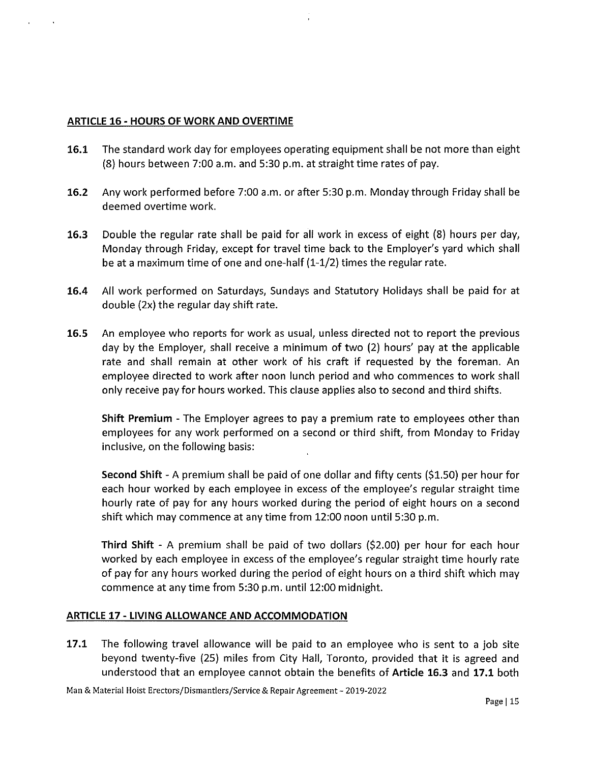#### **ARTICLE 16 - HOURS OF WORK AND OVERTIME**

- **16.1** The standard work day for employees operating equipment shall be not more than eight (8) hours between 7:00 a.m. and 5:30 p.m. at straight time rates of pay.
- **16.2** Any work performed before 7:00 a.m. or after 5:30 p.m. Monday through Friday shall be deemed overtime work.
- **16.3** Double the regular rate shall be paid for all work in excess of eight (8) hours per day, Monday through Friday, except for travel time back to the Employer's yard which shall be at a maximum time of one and one-half (1-1/2) times the regular rate.
- **16.4** All work performed on Saturdays, Sundays and Statutory Holidays shall be paid for at double (2x) the regular day shift rate.
- **16.5** An employee who reports for work as usual, unless directed not to report the previous day by the Employer, shall receive a minimum of two (2) hours' pay at the applicable rate and shall remain at other work of his craft if requested by the foreman. An employee directed to work after noon lunch period and who commences to work shall only receive pay for hours worked. This clause applies also to second and third shifts.

**Shift Premium** - The Employer agrees to pay a premium rate to employees other than employees for any work performed on a second or third shift, from Monday to Friday inclusive, on the following basis:

**Second Shift** - A premium shall be paid of one dollar and fifty cents (\$1.50) per hour for each hour worked by each employee in excess of the employee's regular straight time hourly rate of pay for any hours worked during the period of eight hours on a second shift which may commence at any time from 12:00 noon until 5:30 p.m.

**Third Shift** - A premium shall be paid of two dollars (\$2.00) per hour for each hour worked by each employee in excess of the employee's regular straight time hourly rate of pay for any hours worked during the period of eight hours on a third shift which may commence at any time from 5:30 p.m. until 12:00 midnight.

## **ARTICLE 17 - LIVING ALLOWANCE AND ACCOMMODATION**

**17.1** The following travel allowance will be paid to an employee who is sent to a job site beyond twenty-five (25) miles from City Hall, Toronto, provided that it is agreed and understood that an employee cannot obtain the benefits of **Article 16.3** and **17.1** both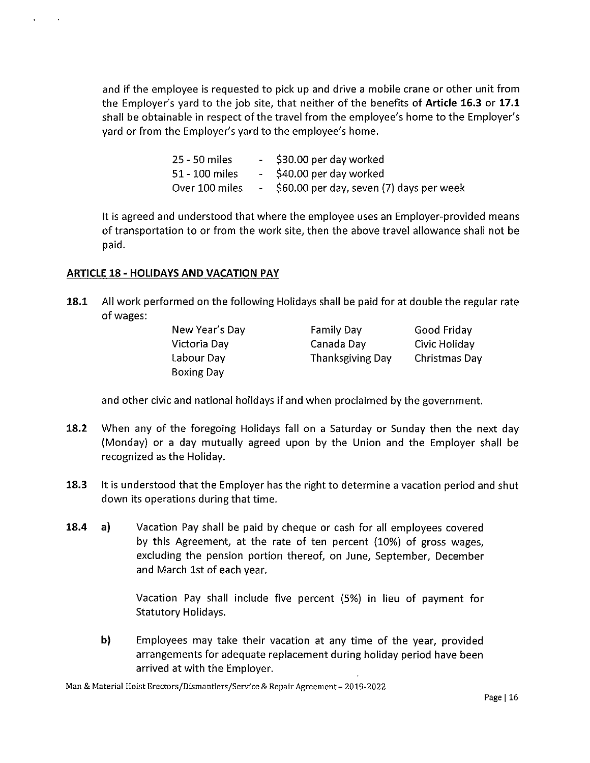and if the employee is requested to pick up and drive a mobile crane or other unit from the Employer's yard to the job site, that neither of the benefits of **Article 16.3 or 17.1**  shall be obtainable in respect of the travel from the employee's home to the Employer's yard or from the Employer's yard to the employee's home.

> 25 - 50 miles \$30.00 per day worked  $\sim 10^{-1}$ \$40.00 per day worked 51- 100 miles Over 100 miles \$60.00 per day, seven (7) days per week  $\omega_{\rm{max}}$

It is agreed and understood that where the employee uses an Employer-provided means of transportation to or from the work site, then the above travel allowance shall not be paid.

# **ARTICLE 18- HOLIDAYS AND VACATION PAY**

**18.1** All work performed on the following Holidays shall be paid for at double the regular rate of wages:

| New Year's Day    | Family Day              | Good Friday   |
|-------------------|-------------------------|---------------|
| Victoria Day      | Canada Day              | Civic Holiday |
| Labour Day        | <b>Thanksgiving Day</b> | Christmas Day |
| <b>Boxing Day</b> |                         |               |

and other civic and national holidays if and when proclaimed by the government.

- **18.2** When any of the foregoing Holidays fall on a Saturday or Sunday then the next day (Monday) or a day mutually agreed upon by the Union and the Employer shall be recognized as the Holiday.
- **18.3** It is understood that the Employer has the right to determine a vacation period and shut down its operations during that time.
- **18.4** a) Vacation Pay shall be paid by cheque or cash for all employees covered by this Agreement, at the rate of ten percent (10%) of gross wages, excluding the pension portion thereof, on June, September, December and March 1st of each year.

Vacation Pay shall include five percent (5%) in lieu of payment for Statutory Holidays.

**b)** Employees may take their vacation at any time of the year, provided arrangements for adequate replacement during holiday period have been arrived at with the Employer.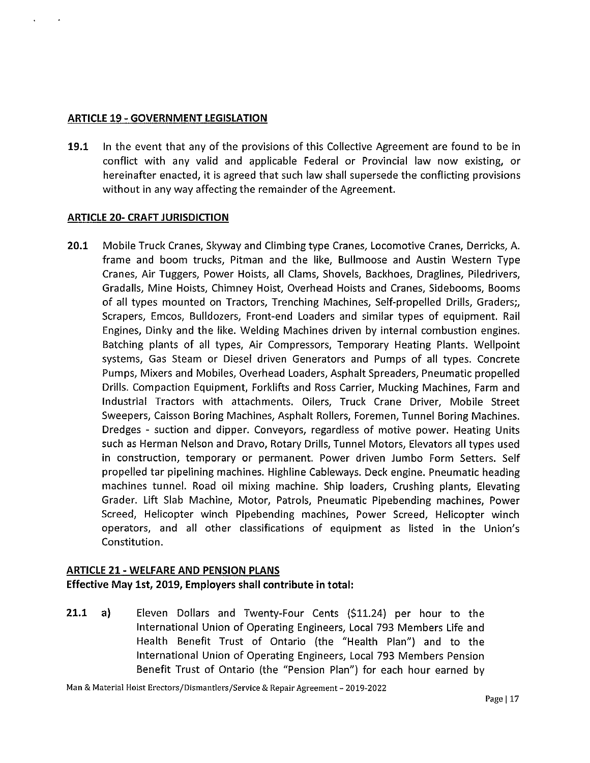#### **ARTICLE 19 - GOVERNMENT LEGISLATION**

**19.1** In the event that any of the provisions of this Collective Agreement are found to be in conflict with any valid and applicable Federal or Provincial law now existing, or hereinafter enacted, it is agreed that such law shall supersede the conflicting provisions without in any way affecting the remainder of the Agreement.

#### **ARTICLE 20- CRAFT JURISDICTION**

**20.1** Mobile Truck Cranes, Skyway and Climbing type Cranes, Locomotive Cranes, Derricks, A. frame and boom trucks, Pitman and the like, Bullmoose and Austin Western Type Cranes, Air Tuggers, Power Hoists, all Clams, Shovels, Backhoes, Draglines, Piledrivers, Gradalls, Mine Hoists, Chimney Hoist, Overhead Hoists and Cranes, Sidebooms, Booms of all types mounted on Tractors, Trenching Machines, Self-propelled Drills, Graders;, Scrapers, Emcos, Bulldozers, Front-end Loaders and similar types of equipment. Rail Engines, Dinky and the like. Welding Machines driven by internal combustion engines. Batching plants of all types, Air Compressors, Temporary Heating Plants. Wellpoint systems, Gas Steam or Diesel driven Generators and Pumps of all types. Concrete Pumps, Mixers and Mobiles, Overhead Loaders, Asphalt Spreaders, Pneumatic propelled Drills. Compaction Equipment, Forklifts and Ross Carrier, Mucking Machines, Farm and Industrial Tractors with attachments. Oilers, Truck Crane Driver, Mobile Street Sweepers, Caisson Boring Machines, Asphalt Rollers, Foremen, Tunnel Boring Machines. Dredges - suction and dipper. Conveyors, regardless of motive power. Heating Units such as Herman Nelson and Dravo, Rotary Drills, Tunnel Motors, Elevators all types used in construction, temporary or permanent. Power driven Jumbo Form Setters. Self propelled tar pipelining machines. Highline Cableways. Deck engine. Pneumatic heading machines tunnel. Road oil mixing machine. Ship loaders, Crushing plants, Elevating Grader. Lift Slab Machine, Motor, Patrols, Pneumatic Pipebending machines, Power Screed, Helicopter winch Pipebending machines, Power Screed, Helicopter winch operators, and all other classifications of equipment as listed in the Union's Constitution.

## **ARTICLE 21 - WELFARE AND PENSION PLANS**

**Effective May 1st, 2019, Employers shall contribute in total:** 

**21.1 a)** Eleven Dollars and Twenty-Four Cents (\$11.24) per hour to the International Union of Operating Engineers, Local 793 Members Life and Health Benefit Trust of Ontario (the "Health Plan") and to the International Union of Operating Engineers, Local 793 Members Pension Benefit Trust of Ontario (the "Pension Plan") for each hour earned by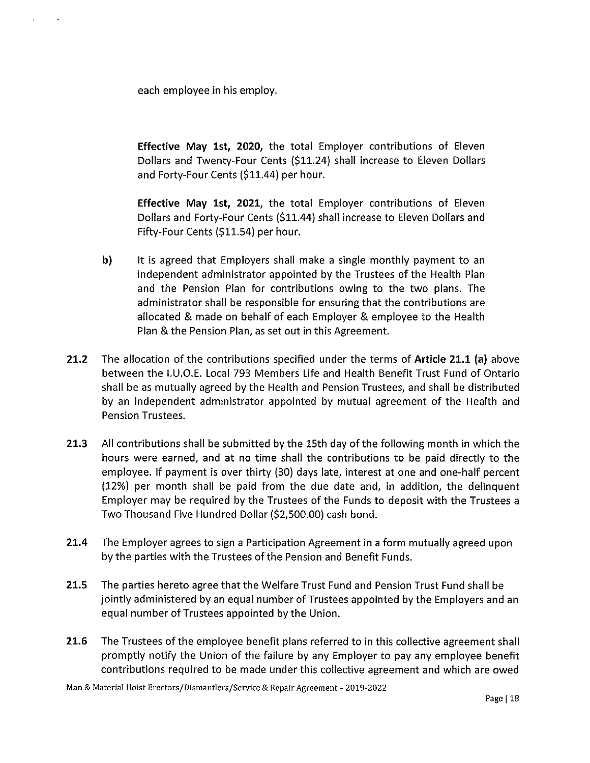each employee in his employ.

**Effective May 1st, 2020,** the total Employer contributions of Eleven Dollars and Twenty-Four Cents (\$11.24) shall increase to Eleven Dollars and Forty-Four Cents (\$11.44) per hour.

**Effective May 1st, 2021,** the total Employer contributions of Eleven Dollars and Forty-Four Cents (\$11.44) shall increase to Eleven Dollars and Fifty-Four Cents (\$11.54) per hour.

- **b)** It is agreed that Employers shall make a single monthly payment to an independent administrator appointed by the Trustees of the Health Plan and the Pension Plan for contributions owing to the two plans. The administrator shall be responsible for ensuring that the contributions are allocated & made on behalf of each Employer & employee to the Health Plan & the Pension Plan, as set out in this Agreement.
- **21.2** The allocation of the contributions specified under the terms of **Article 21.1** (a) above between the 1.U.O.E. Local 793 Members Life and Health Benefit Trust Fund of Ontario shall be as mutually agreed by the Health and Pension Trustees, and shall be distributed by an independent administrator appointed by mutual agreement of the Health and Pension Trustees.
- **21.3** All contributions shall be submitted by the 15th day of the following month in which the hours were earned, and at no time shall the contributions to be paid directly to the employee. If payment is over thirty (30) days late, interest at one and one-half percent (12%) per month shall be paid from the due date and, in addition, the delinquent Employer may be required by the Trustees of the Funds to deposit with the Trustees a Two Thousand Five Hundred Dollar (\$2,500.00) cash bond.
- **21.4** The Employer agrees to sign a Participation Agreement in a form mutually agreed upon by the parties with the Trustees of the Pension and Benefit Funds.
- **21.5** The parties hereto agree that the Welfare Trust Fund and Pension Trust Fund shall be jointly administered by an equal number of Trustees appointed by the Employers and an equal number of Trustees appointed by the Union.
- **21.6** The Trustees of the employee benefit plans referred to in this collective agreement shall promptly notify the Union of the failure by any Employer to pay any employee benefit contributions required to be made under this collective agreement and which are owed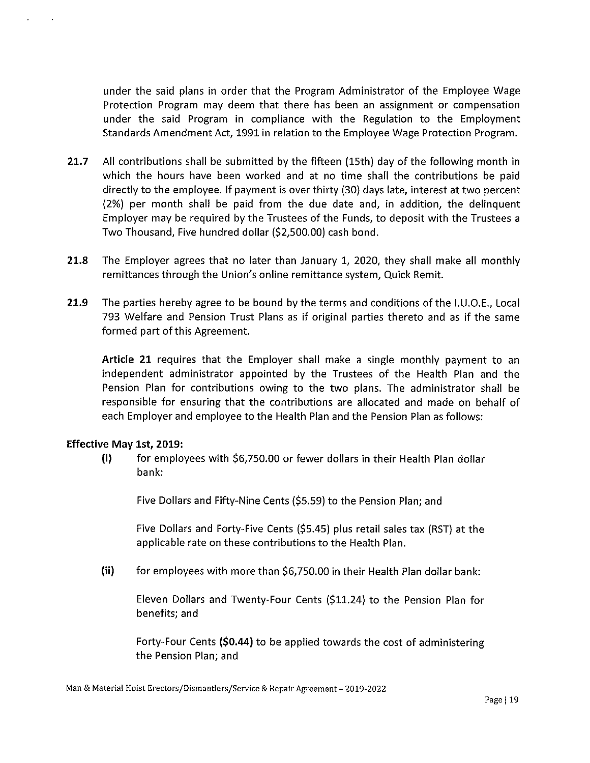under the said plans in order that the Program Administrator of the Employee Wage Protection Program may deem that there has been an assignment or compensation under the said Program in compliance with the Regulation to the Employment Standards Amendment Act, 1991 in relation to the Employee Wage Protection Program.

- **21.7** All contributions shall be submitted by the fifteen (15th) day of the following month in which the hours have been worked and at no time shall the contributions be paid directly to the employee. If payment is over thirty {30) days late, interest at two percent {2%) per month shall be paid from the due date and, in addition, the delinquent Employer may be required by the Trustees of the Funds, to deposit with the Trustees a Two Thousand, Five hundred dollar (\$2,500.00) cash bond.
- **21.8** The Employer agrees that no later than January 1, 2020, they shall make all monthly remittances through the Union's online remittance system, Quick Remit.
- **21.9** The parties hereby agree to be bound by the terms and conditions of the 1.U.O.E., Local 793 Welfare and Pension Trust Plans as if original parties thereto and as if the same formed part of this Agreement.

**Article 21** requires that the Employer shall make a single monthly payment to an independent administrator appointed by the Trustees of the Health Plan and the Pension Plan for contributions owing to the two plans. The administrator shall be responsible for ensuring that the contributions are allocated and made on behalf of each Employer and employee to the Health Plan and the Pension Plan as follows:

#### **Effective May 1st, 2019:**

**(i)** for employees with \$6, 750.00 or fewer dollars in their Health Plan dollar bank:

Five Dollars and Fifty-Nine Cents (\$5.59) to the Pension Plan; and

Five Dollars and Forty-Five Cents (\$5.45) plus retail sales tax (RST) at the applicable rate on these contributions to the Health Plan.

(ii) for employees with more than \$6, 750.00 in their Health Plan dollar bank:

Eleven Dollars and Twenty-Four Cents (\$11.24) to the Pension Plan for benefits; and

Forty-Four Cents **(\$0.44)** to be applied towards the cost of administering the Pension Plan; and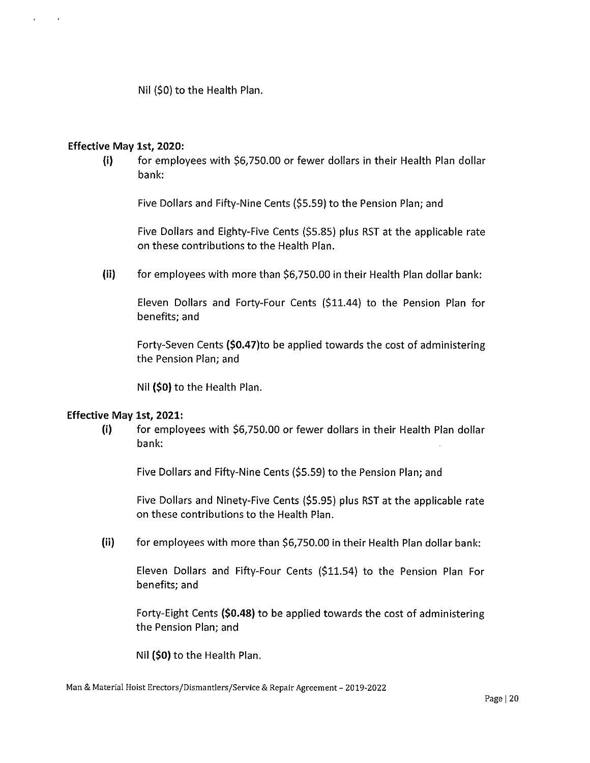Nil (\$0) to the Health Plan.

#### Effective May 1st, 2020:

 $\mathbf{r}$  $\sim 100$ 

> $(i)$  for employees with \$6,750.00 or fewer dollars in their Health Plan dollar bank:

Five Dollars and Fifty-Nine Cents (\$5.59) to the Pension Plan; and

Five Dollars and Eighty-Five Cents (\$5.85) plus RST at the applicable rate on these contributions to the Health Plan.

(ii) for employees with more than \$6,750.00 in their Health Plan dollar bank:

Eleven Dollars and Forty-Four Cents (\$11.44) to the Pension Plan for benefits; and

Forty-Seven Cents {\$0.47)to be applied towards the cost of administering the Pension Plan; and

Nil {\$0) to the Health Plan.

#### Effective May 1st, 2021:

(i) for employees with \$6,750.00 or fewer dollars in their Health Plan dollar bank:

Five Dollars and Fifty-Nine Cents (\$5.59) to the Pension Plan; and

Five Dollars and Ninety-Five Cents (\$5.95) plus RST at the applicable rate on these contributions to the Health Plan.

(ii) for employees with more than \$6,750.00 in their Health Plan dollar bank:

Eleven Dollars and Fifty-Four Cents {\$11.54) to the Pension Plan For benefits; and

Forty-Eight Cents {\$0.48) to be applied towards the cost of administering the Pension Plan; and

Nil {\$0) to the Health Plan.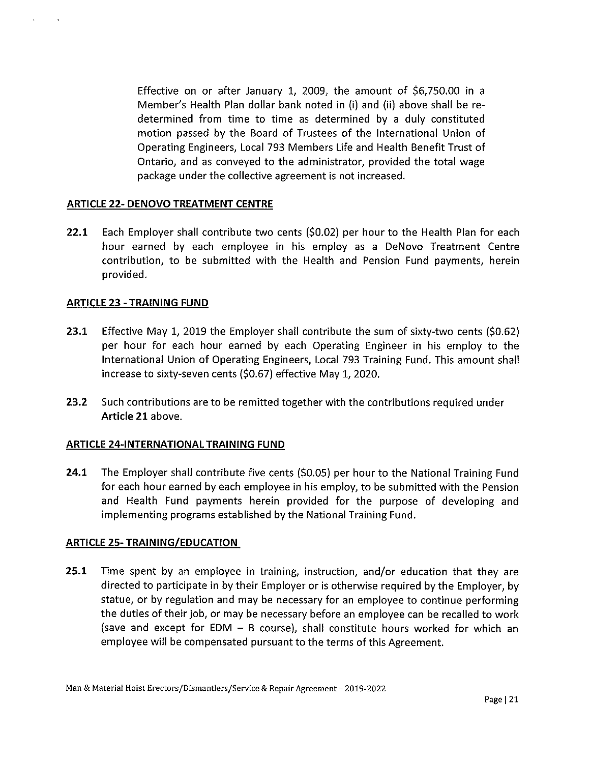Effective on or after January 1, 2009, the amount of \$6,750.00 in a Member's Health Plan dollar bank noted in (i) and (ii) above shall be redetermined from time to time as determined by a duly constituted motion passed by the Board of Trustees of the International Union of Operating Engineers, Local 793 Members Life and Health Benefit Trust of Ontario, and as conveyed to the administrator, provided the total wage package under the collective agreement is not increased.

#### **ARTICLE 22- DENOVO TREATMENT CENTRE**

**22.1** Each Employer shall contribute two cents (\$0.02) per hour to the Health Plan for each hour earned by each employee in his employ as a DeNovo Treatment Centre contribution, to be submitted with the Health and Pension Fund payments, herein provided.

#### **ARTICLE 23 - TRAINING FUND**

- **23.1** Effective May 1, 2019 the Employer shall contribute the sum of sixty-two cents (\$0.62) per hour for each hour earned by each Operating Engineer in his employ to the International Union of Operating Engineers, Local 793 Training Fund. This amount shall increase to sixty-seven cents (\$0.67) effective May 1, 2020.
- **23.2** Such contributions are to be remitted together with the contributions required under **Article 21** above.

#### **ARTICLE 24-INTERNATIONAL TRAINING FUND**

**24.1** The Employer shall contribute five cents (\$0.05) per hour to the National Training Fund for each hour earned by each employee in his employ, to be submitted with the Pension and Health Fund payments herein provided for the purpose of developing and implementing programs established by the National Training Fund.

#### **ARTICLE 25- TRAINING/EDUCATION**

**25.1** Time spent by an employee in training, instruction, and/or education that they are directed to participate in by their Employer or is otherwise required by the Employer, by statue, or by regulation and may be necessary for an employee to continue performing the duties of their job, or may be necessary before an employee can be recalled to work (save and except for  $EDM - B$  course), shall constitute hours worked for which an employee will be compensated pursuant to the terms of this Agreement.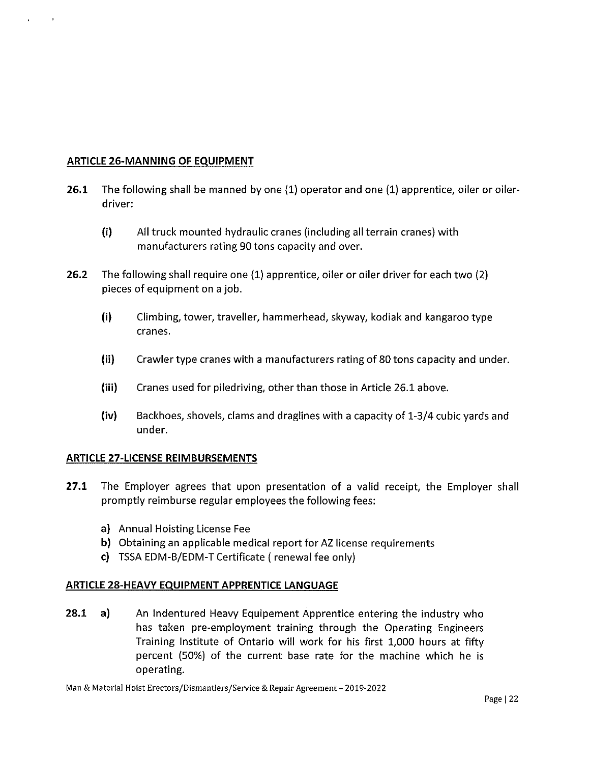#### **ARTICLE 26-MANNING OF EQUIPMENT**

 $\mathbf{r}$ 

- **26.1** The following shall be manned by one (1) operator and one (1) apprentice, oiler or oilerdriver:
	- **(i)** All truck mounted hydraulic cranes (including all terrain cranes) with manufacturers rating 90 tons capacity and over.
- **26.2** The following shall require one (1) apprentice, oiler or oiler driver for each two (2) pieces of equipment on a job.
	- (i) Climbing, tower, traveller, hammerhead, skyway, kodiak and kangaroo type cranes.
	- (ii) Crawler type cranes with a manufacturers rating of 80 tons capacity and under.
	- (iii) Cranes used for piledriving, other than those in Article 26.1 above.
	- **(iv)** Backhoes, shovels, clams and draglines with a capacity of 1-3/4 cubic yards and under.

## **ARTICLE 27-LICENSE REIMBURSEMENTS**

- **27.1** The Employer agrees that upon presentation of a valid receipt, the Employer shall promptly reimburse regular employees the following fees:
	- a) Annual Hoisting License Fee
	- **b}** Obtaining an applicable medical report for AZ license requirements
	- **c)** TSSA EDM-B/EDM-T Certificate (renewal fee only)

## **ARTICLE 28-HEAVY EQUIPMENT APPRENTICE LANGUAGE**

**28.1** a) An Indentured Heavy Equipement Apprentice entering the industry who has taken pre-employment training through the Operating Engineers Training Institute of Ontario will work for his first 1,000 hours at fifty percent (50%) of the current base rate for the machine which he is operating.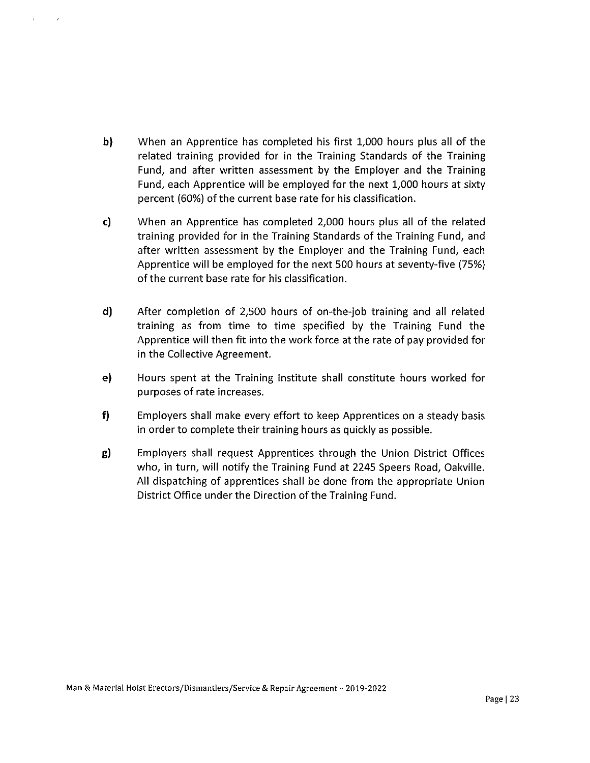- b) When an Apprentice has completed his first 1,000 hours plus all of the related training provided for in the Training Standards of the Training Fund, and after written assessment by the Employer and the Training Fund, each Apprentice will be employed for the next 1,000 hours at sixty percent {60%) of the current base rate for his classification.
- c) When an Apprentice has completed 2,000 hours plus all of the related training provided for in the Training Standards of the Training Fund, and after written assessment by the Employer and the Training Fund, each Apprentice will be employed for the next 500 hours at seventy-five (75%) of the current base rate for his classification.
- d) After completion of 2,500 hours of on-the-job training and all related training as from time to time specified by the Training Fund the Apprentice will then fit into the work force at the rate of pay provided for in the Collective Agreement.
- e) Hours spent at the Training Institute shall constitute hours worked for purposes of rate increases.
- f) Employers shall make every effort to keep Apprentices on a steady basis in order to complete their training hours as quickly as possible.
- g) Employers shall request Apprentices through the Union District Offices who, in turn, will notify the Training Fund at 2245 Speers Road, Oakville. All dispatching of apprentices shall be done from the appropriate Union District Office under the Direction of the Training Fund.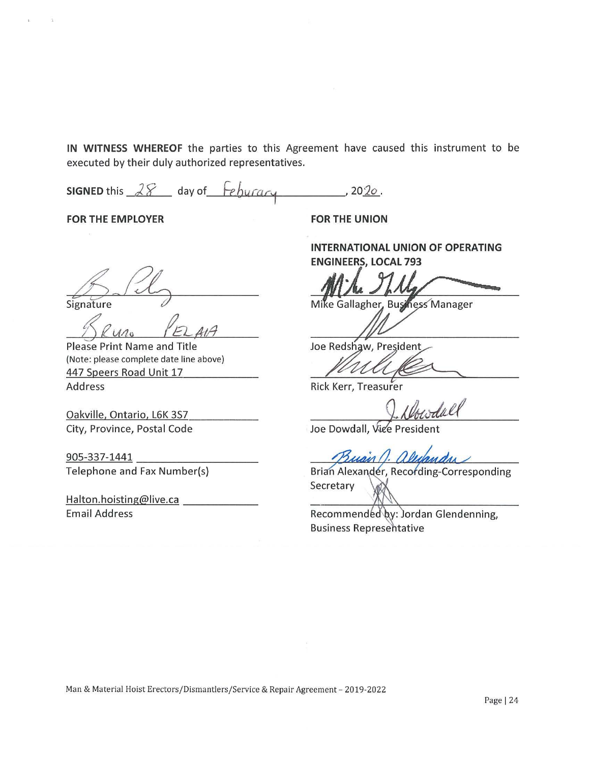**IN WITNESS WHEREOF** the parties to this Agreement have caused this instrument to be executed by their duly authorized representatives.

**SIGNED** this  $28$  day of *feburary*  $, 2020.$ 

**FOR THE EMPLOYER** 

Signature

Please Print Name and Title (Note: please complete date line above) 447 Speers Road Unit 17

Address

Oakville, Ontario, LGK 3S7 City, Province, Postal Code

905-337-1441 Telephone and Fax Number(s)

Halton.hoisting@live.ca Email Address

**FOR THE UNION** 

**INTERNATIONAL UNION OF OPERATING ENGINEERS, LOCAL 793** 

Mike Gallagher, Business Manager

Joe Redshaw, President

Rick Kerr, Treasurer

Joe Dowdall, Vice President

Brian Alexander, Recording-Corresponding **Secretary** 

Recommended by: Jordan Glendenning, **Business Representative**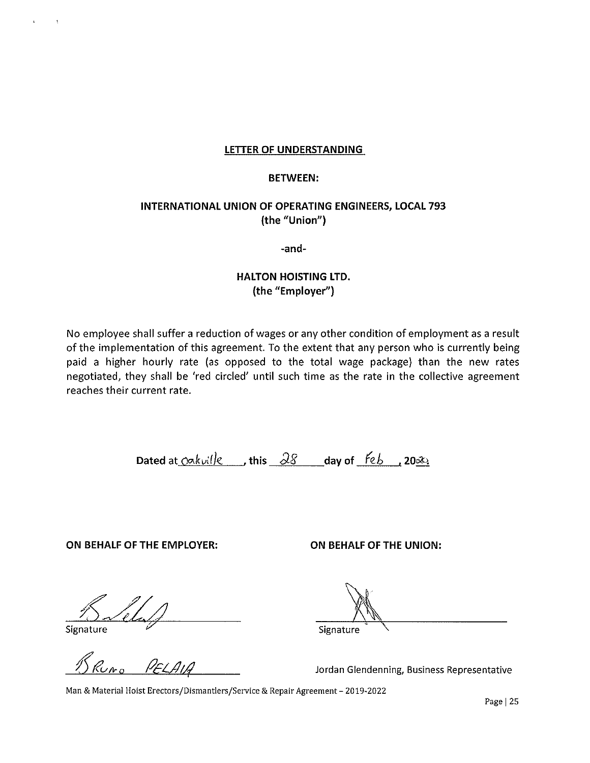#### **LETTER OF UNDERSTANDING**

#### **BETWEEN:**

# **INTERNATIONAL UNION OF OPERATING ENGINEERS, LOCAL 793 (the "Union")**

**-and-**

# **HALTON HOISTING LTD. (the "Employer")**

No employee shall suffer a reduction of wages or any other condition of employment as a result of the implementation of this agreement. To the extent that any person who is currently being paid a higher hourly rate (as opposed to the total wage package) than the new rates negotiated, they shall be 'red circled' until such time as the rate in the collective agreement reaches their current rate.

Dated at  $\overline{\text{okol}}$  extending this  $\overline{\partial S}$  and  $\overline{\text{d}}$  ay of  $\overline{\text{f}}$  estending  $\overline{\text{d}}$ 

**ON BEHALF OF THE EMPLOYER: ON BEHALF OF THE UNION:** 

Signature

Signature

Jordan Glendenning, Business Representative